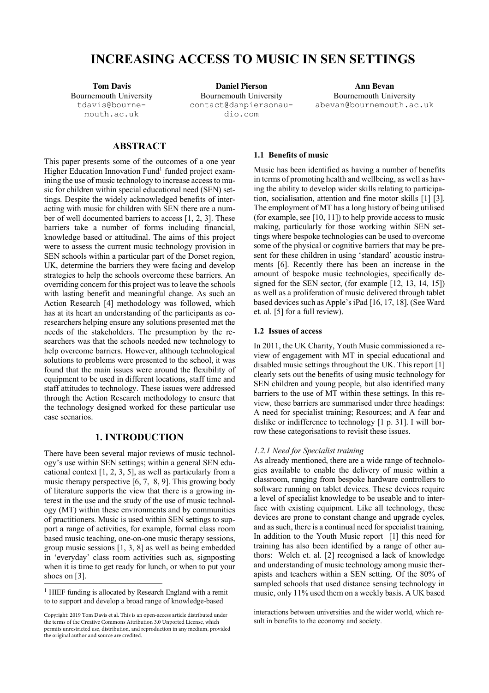# **INCREASING ACCESS TO MUSIC IN SEN SETTINGS**

Bournemouth University tdavis@bournemouth.ac.uk

**Tom Davis Daniel Pierson Ann Bevan** Bournemouth University contact@danpiersonaudio.com

Bournemouth University abevan@bournemouth.ac.uk

## **ABSTRACT**

This paper presents some of the outcomes of a one year Higher Education Innovation Fund<sup>1</sup> funded project examining the use of music technology to increase access to music for children within special educational need (SEN) settings. Despite the widely acknowledged benefits of interacting with music for children with SEN there are a number of well documented barriers to access [1, 2, 3]. These barriers take a number of forms including financial, knowledge based or attitudinal. The aims of this project were to assess the current music technology provision in SEN schools within a particular part of the Dorset region, UK, determine the barriers they were facing and develop strategies to help the schools overcome these barriers. An overriding concern for this project was to leave the schools with lasting benefit and meaningful change. As such an Action Research [4] methodology was followed, which has at its heart an understanding of the participants as coresearchers helping ensure any solutions presented met the needs of the stakeholders. The presumption by the researchers was that the schools needed new technology to help overcome barriers. However, although technological solutions to problems were presented to the school, it was found that the main issues were around the flexibility of equipment to be used in different locations, staff time and staff attitudes to technology. These issues were addressed through the Action Research methodology to ensure that the technology designed worked for these particular use case scenarios.

# **1. INTRODUCTION**

There have been several major reviews of music technology's use within SEN settings; within a general SEN educational context [1, 2, 3, 5], as well as particularly from a music therapy perspective [6, 7, 8, 9]. This growing body of literature supports the view that there is a growing interest in the use and the study of the use of music technology (MT) within these environments and by communities of practitioners. Music is used within SEN settings to support a range of activities, for example, formal class room based music teaching, one-on-one music therapy sessions, group music sessions [1, 3, 8] as well as being embedded in 'everyday' class room activities such as, signposting when it is time to get ready for lunch, or when to put your shoes on [3].

#### **1.1 Benefits of music**

Music has been identified as having a number of benefits in terms of promoting health and wellbeing, as well as having the ability to develop wider skills relating to participation, socialisation, attention and fine motor skills [1] [3]. The employment of MT has a long history of being utilised (for example, see [10, 11]) to help provide access to music making, particularly for those working within SEN settings where bespoke technologies can be used to overcome some of the physical or cognitive barriers that may be present for these children in using 'standard' acoustic instruments [6]. Recently there has been an increase in the amount of bespoke music technologies, specifically designed for the SEN sector, (for example [12, 13, 14, 15]) as well as a proliferation of music delivered through tablet based devices such as Apple's iPad [16, 17, 18]. (See Ward et. al. [5] for a full review).

## **1.2 Issues of access**

In 2011, the UK Charity, Youth Music commissioned a review of engagement with MT in special educational and disabled music settings throughout the UK. This report [1] clearly sets out the benefits of using music technology for SEN children and young people, but also identified many barriers to the use of MT within these settings. In this review, these barriers are summarised under three headings: A need for specialist training; Resources; and A fear and dislike or indifference to technology [1 p. 31]. I will borrow these categorisations to revisit these issues.

#### *1.2.1 Need for Specialist training*

As already mentioned, there are a wide range of technologies available to enable the delivery of music within a classroom, ranging from bespoke hardware controllers to software running on tablet devices. These devices require a level of specialist knowledge to be useable and to interface with existing equipment. Like all technology, these devices are prone to constant change and upgrade cycles, and assuch, there is a continual need for specialist training. In addition to the Youth Music report [1] this need for training has also been identified by a range of other authors: Welch et. al. [2] recognised a lack of knowledge and understanding of music technology among music therapists and teachers within a SEN setting. Of the 80% of sampled schools that used distance sensing technology in music, only 11% used them on a weekly basis. A UK based

<sup>&</sup>lt;sup>1</sup> HIEF funding is allocated by Research England with a remit to to support and develop a broad range of knowledge-based

sult in benefits to the economy and society. Copyright: 2019 Tom Davis et al. This is an open-access article distributed under the terms of the Creative Commons Attribution 3.0 Unported License, which permits unrestricted use, distribution, and reproduction in any medium, provided the original author and source are credited.

interactions between universities and the wider world, which re-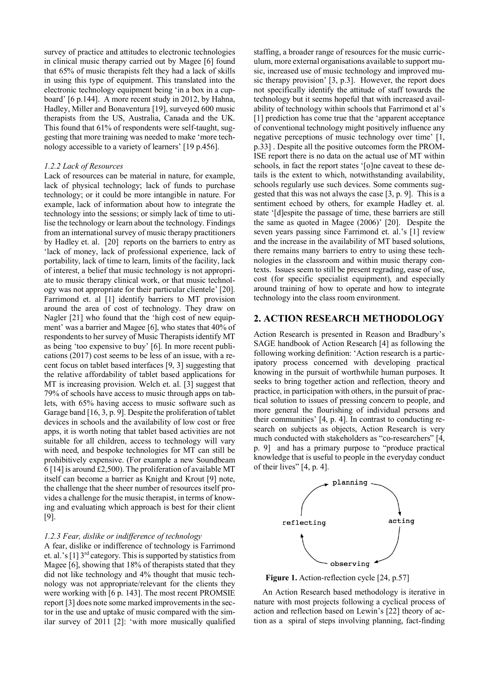survey of practice and attitudes to electronic technologies in clinical music therapy carried out by Magee [6] found that 65% of music therapists felt they had a lack of skills in using this type of equipment. This translated into the electronic technology equipment being 'in a box in a cupboard' [6 p.144]. A more recent study in 2012, by Hahna, Hadley, Miller and Bonaventura [19], surveyed 600 music therapists from the US, Australia, Canada and the UK. This found that 61% of respondents were self-taught, suggesting that more training was needed to make 'more technology accessible to a variety of learners' [19 p.456].

#### *1.2.2 Lack of Resources*

Lack of resources can be material in nature, for example, lack of physical technology; lack of funds to purchase technology; or it could be more intangible in nature. For example, lack of information about how to integrate the technology into the sessions; or simply lack of time to utilise the technology or learn about the technology. Findings from an international survey of music therapy practitioners by Hadley et. al. [20] reports on the barriers to entry as 'lack of money, lack of professional experience, lack of portability, lack of time to learn, limits of the facility, lack of interest, a belief that music technology is not appropriate to music therapy clinical work, or that music technology was not appropriate for their particular clientele' [20]. Farrimond et. al [1] identify barriers to MT provision around the area of cost of technology. They draw on Nagler [21] who found that the 'high cost of new equipment' was a barrier and Magee [6], who states that 40% of respondents to her survey of Music Therapists identify MT as being 'too expensive to buy' [6]. In more recent publications (2017) cost seems to be less of an issue, with a recent focus on tablet based interfaces [9, 3] suggesting that the relative affordability of tablet based applications for MT is increasing provision. Welch et. al. [3] suggest that 79% of schools have access to music through apps on tablets, with 65% having access to music software such as Garage band [16, 3, p. 9]. Despite the proliferation of tablet devices in schools and the availability of low cost or free apps, it is worth noting that tablet based activities are not suitable for all children, access to technology will vary with need, and bespoke technologies for MT can still be prohibitively expensive. (For example a new Soundbeam 6 [14] is around £2,500). The proliferation of available MT itself can become a barrier as Knight and Krout [9] note, the challenge that the sheer number of resources itself provides a challenge for the music therapist, in terms of knowing and evaluating which approach is best for their client [9].

#### *1.2.3 Fear, dislike or indifference of technology*

A fear, dislike or indifference of technology is Farrimond et. al.'s  $[1]$  3<sup>rd</sup> category. This is supported by statistics from Magee [6], showing that 18% of therapists stated that they did not like technology and 4% thought that music technology was not appropriate/relevant for the clients they were working with [6 p. 143]. The most recent PROMSIE report [3] does note some marked improvements in the sector in the use and uptake of music compared with the similar survey of 2011 [2]: 'with more musically qualified staffing, a broader range of resources for the music curriculum, more external organisations available to support music, increased use of music technology and improved music therapy provision' [3, p.3]. However, the report does not specifically identify the attitude of staff towards the technology but it seems hopeful that with increased availability of technology within schools that Farrimond et al's [1] prediction has come true that the 'apparent acceptance of conventional technology might positively influence any negative perceptions of music technology over time' [1, p.33] . Despite all the positive outcomes form the PROM-ISE report there is no data on the actual use of MT within schools, in fact the report states '[o]ne caveat to these details is the extent to which, notwithstanding availability, schools regularly use such devices. Some comments suggested that this was not always the case [3, p. 9]. This is a sentiment echoed by others, for example Hadley et. al. state '[d]espite the passage of time, these barriers are still the same as quoted in Magee (2006)' [20]. Despite the seven years passing since Farrimond et. al.'s [1] review and the increase in the availability of MT based solutions, there remains many barriers to entry to using these technologies in the classroom and within music therapy contexts. Issues seem to still be present regrading, ease of use, cost (for specific specialist equipment), and especially around training of how to operate and how to integrate technology into the class room environment.

#### **2. ACTION RESEARCH METHODOLOGY**

Action Research is presented in Reason and Bradbury's SAGE handbook of Action Research [4] as following the following working definition: 'Action research is a participatory process concerned with developing practical knowing in the pursuit of worthwhile human purposes. It seeks to bring together action and reflection, theory and practice, in participation with others, in the pursuit of practical solution to issues of pressing concern to people, and more general the flourishing of individual persons and their communities' [4, p. 4]. In contrast to conducting research on subjects as objects, Action Research is very much conducted with stakeholders as "co-researchers" [4, p. 9] and has a primary purpose to "produce practical knowledge that is useful to people in the everyday conduct of their lives" [4, p. 4].



**Figure 1.** Action-reflection cycle [24, p.57]

An Action Research based methodology is iterative in nature with most projects following a cyclical process of action and reflection based on Lewin's [22] theory of action as a spiral of steps involving planning, fact-finding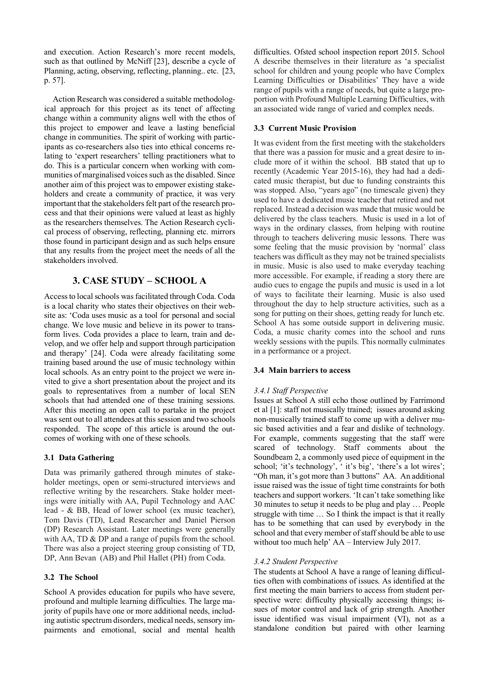and execution. Action Research's more recent models, such as that outlined by McNiff [23], describe a cycle of Planning, acting, observing, reflecting, planning.. etc. [23, p. 57].

Action Research was considered a suitable methodological approach for this project as its tenet of affecting change within a community aligns well with the ethos of this project to empower and leave a lasting beneficial change in communities. The spirit of working with participants as co-researchers also ties into ethical concerns relating to 'expert researchers' telling practitioners what to do. This is a particular concern when working with communities of marginalised voices such as the disabled. Since another aim of this project was to empower existing stakeholders and create a community of practice, it was very important that the stakeholders felt part of the research process and that their opinions were valued at least as highly as the researchers themselves. The Action Research cyclical process of observing, reflecting, planning etc. mirrors those found in participant design and as such helps ensure that any results from the project meet the needs of all the stakeholders involved.

# **3. CASE STUDY – SCHOOL A**

Access to local schools was facilitated through Coda. Coda is a local charity who states their objectives on their website as: 'Coda uses music as a tool for personal and social change. We love music and believe in its power to transform lives. Coda provides a place to learn, train and develop, and we offer help and support through participation and therapy' [24]. Coda were already facilitating some training based around the use of music technology within local schools. As an entry point to the project we were invited to give a short presentation about the project and its goals to representatives from a number of local SEN schools that had attended one of these training sessions. After this meeting an open call to partake in the project was sent out to all attendees at this session and two schools responded. The scope of this article is around the outcomes of working with one of these schools.

## **3.1 Data Gathering**

Data was primarily gathered through minutes of stakeholder meetings, open or semi-structured interviews and reflective writing by the researchers. Stake holder meetings were initially with AA, Pupil Technology and AAC lead - & BB, Head of lower school (ex music teacher), Tom Davis (TD), Lead Researcher and Daniel Pierson (DP) Research Assistant. Later meetings were generally with AA, TD & DP and a range of pupils from the school. There was also a project steering group consisting of TD, DP, Ann Bevan (AB) and Phil Hallet (PH) from Coda.

## **3.2 The School**

School A provides education for pupils who have severe, profound and multiple learning difficulties. The large majority of pupils have one or more additional needs, including autistic spectrum disorders, medical needs, sensory impairments and emotional, social and mental health difficulties. Ofsted school inspection report 2015. School A describe themselves in their literature as 'a specialist school for children and young people who have Complex Learning Difficulties or Disabilities' They have a wide range of pupils with a range of needs, but quite a large proportion with Profound Multiple Learning Difficulties, with an associated wide range of varied and complex needs.

#### **3.3 Current Music Provision**

It was evident from the first meeting with the stakeholders that there was a passion for music and a great desire to include more of it within the school. BB stated that up to recently (Academic Year 2015-16), they had had a dedicated music therapist, but due to funding constraints this was stopped. Also, "years ago" (no timescale given) they used to have a dedicated music teacher that retired and not replaced. Instead a decision was made that music would be delivered by the class teachers. Music is used in a lot of ways in the ordinary classes, from helping with routine through to teachers delivering music lessons. There was some feeling that the music provision by 'normal' class teachers was difficult as they may not be trained specialists in music. Music is also used to make everyday teaching more accessible. For example, if reading a story there are audio cues to engage the pupils and music is used in a lot of ways to facilitate their learning. Music is also used throughout the day to help structure activities, such as a song for putting on their shoes, getting ready for lunch etc. School A has some outside support in delivering music. Coda, a music charity comes into the school and runs weekly sessions with the pupils. This normally culminates in a performance or a project.

#### **3.4 Main barriers to access**

## *3.4.1 Staff Perspective*

Issues at School A still echo those outlined by Farrimond et al [1]: staff not musically trained; issues around asking non-musically trained staff to come up with a deliver music based activities and a fear and dislike of technology. For example, comments suggesting that the staff were scared of technology. Staff comments about the Soundbeam 2, a commonly used piece of equipment in the school; 'it's technology', ' it's big', 'there's a lot wires'; "Oh man, it's got more than 3 buttons" AA. An additional issue raised was the issue of tight time constraints for both teachers and support workers. 'It can't take something like 30 minutes to setup it needs to be plug and play … People struggle with time … So I think the impact is that it really has to be something that can used by everybody in the school and that every member of staff should be able to use without too much help' AA – Interview July 2017.

#### *3.4.2 Student Perspective*

The students at School A have a range of leaning difficulties often with combinations of issues. As identified at the first meeting the main barriers to access from student perspective were: difficulty physically accessing things; issues of motor control and lack of grip strength. Another issue identified was visual impairment (VI), not as a standalone condition but paired with other learning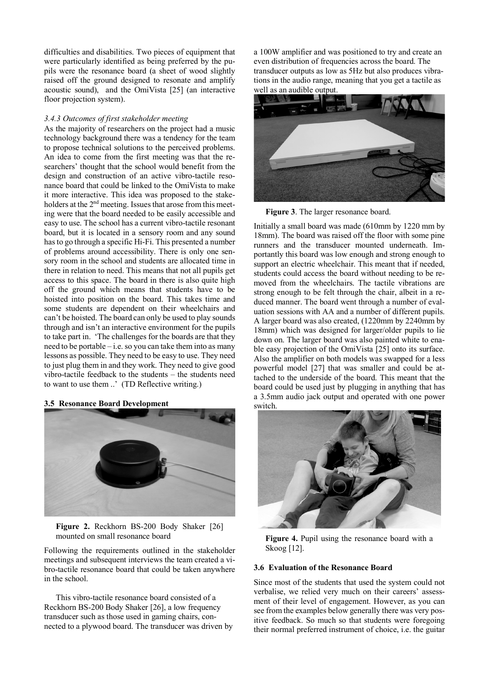difficulties and disabilities. Two pieces of equipment that were particularly identified as being preferred by the pupils were the resonance board (a sheet of wood slightly raised off the ground designed to resonate and amplify acoustic sound), and the OmiVista [25] (an interactive floor projection system).

#### *3.4.3 Outcomes of first stakeholder meeting*

As the majority of researchers on the project had a music technology background there was a tendency for the team to propose technical solutions to the perceived problems. An idea to come from the first meeting was that the researchers' thought that the school would benefit from the design and construction of an active vibro-tactile resonance board that could be linked to the OmiVista to make it more interactive. This idea was proposed to the stakeholders at the 2<sup>nd</sup> meeting. Issues that arose from this meeting were that the board needed to be easily accessible and easy to use. The school has a current vibro-tactile resonant board, but it is located in a sensory room and any sound has to go through a specific Hi-Fi. This presented a number of problems around accessibility. There is only one sensory room in the school and students are allocated time in there in relation to need. This means that not all pupils get access to this space. The board in there is also quite high off the ground which means that students have to be hoisted into position on the board. This takes time and some students are dependent on their wheelchairs and can't be hoisted. The board can only be used to play sounds through and isn't an interactive environment for the pupils to take part in. 'The challenges for the boards are that they need to be portable – i.e. so you can take them into as many lessons as possible. They need to be easy to use. They need to just plug them in and they work. They need to give good vibro-tactile feedback to the students – the students need to want to use them ..' (TD Reflective writing.)

|  |  | 3.5 Resonance Board Development |  |  |  |
|--|--|---------------------------------|--|--|--|
|--|--|---------------------------------|--|--|--|



**Figure 2.** Reckhorn BS-200 Body Shaker [26] mounted on small resonance board

Following the requirements outlined in the stakeholder meetings and subsequent interviews the team created a vibro-tactile resonance board that could be taken anywhere in the school.

This vibro-tactile resonance board consisted of a Reckhorn BS-200 Body Shaker [26], a low frequency transducer such as those used in gaming chairs, connected to a plywood board. The transducer was driven by a 100W amplifier and was positioned to try and create an even distribution of frequencies across the board. The transducer outputs as low as 5Hz but also produces vibrations in the audio range, meaning that you get a tactile as well as an audible output.



**Figure 3**. The larger resonance board.

Initially a small board was made (610mm by 1220 mm by 18mm). The board was raised off the floor with some pine runners and the transducer mounted underneath. Importantly this board was low enough and strong enough to support an electric wheelchair. This meant that if needed, students could access the board without needing to be removed from the wheelchairs. The tactile vibrations are strong enough to be felt through the chair, albeit in a reduced manner. The board went through a number of evaluation sessions with AA and a number of different pupils. A larger board was also created, (1220mm by 2240mm by 18mm) which was designed for larger/older pupils to lie down on. The larger board was also painted white to enable easy projection of the OmiVista [25] onto its surface. Also the amplifier on both models was swapped for a less powerful model [27] that was smaller and could be attached to the underside of the board. This meant that the board could be used just by plugging in anything that has a 3.5mm audio jack output and operated with one power switch.



**Figure 4.** Pupil using the resonance board with a Skoog [12].

#### **3.6 Evaluation of the Resonance Board**

Since most of the students that used the system could not verbalise, we relied very much on their careers' assessment of their level of engagement. However, as you can see from the examples below generally there was very positive feedback. So much so that students were foregoing their normal preferred instrument of choice, i.e. the guitar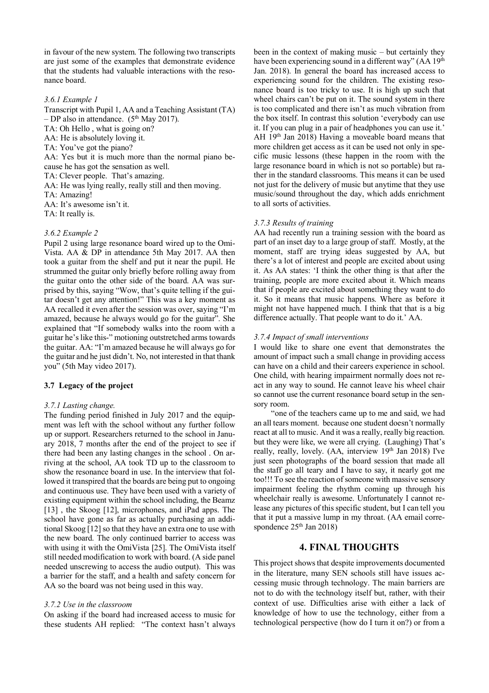in favour of the new system. The following two transcripts are just some of the examples that demonstrate evidence that the students had valuable interactions with the resonance board.

#### *3.6.1 Example 1*

Transcript with Pupil 1, AA and a Teaching Assistant (TA) – DP also in attendance.  $(5<sup>th</sup>$  May 2017). TA: Oh Hello , what is going on? AA: He is absolutely loving it. TA: You've got the piano? AA: Yes but it is much more than the normal piano because he has got the sensation as well. TA: Clever people. That's amazing. AA: He was lying really, really still and then moving. TA: Amazing! AA: It's awesome isn't it. TA: It really is.

#### *3.6.2 Example 2*

Pupil 2 using large resonance board wired up to the Omi-Vista. AA & DP in attendance 5th May 2017. AA then took a guitar from the shelf and put it near the pupil. He strummed the guitar only briefly before rolling away from the guitar onto the other side of the board. AA was surprised by this, saying "Wow, that's quite telling if the guitar doesn't get any attention!" This was a key moment as AA recalled it even after the session was over, saying "I'm amazed, because he always would go for the guitar". She explained that "If somebody walks into the room with a guitar he's like this-" motioning outstretched arms towards the guitar. AA: "I'm amazed because he will always go for the guitar and he just didn't. No, not interested in that thank you" (5th May video 2017).

## **3.7 Legacy of the project**

## *3.7.1 Lasting change.*

The funding period finished in July 2017 and the equipment was left with the school without any further follow up or support. Researchers returned to the school in January 2018, 7 months after the end of the project to see if there had been any lasting changes in the school . On arriving at the school, AA took TD up to the classroom to show the resonance board in use. In the interview that followed it transpired that the boards are being put to ongoing and continuous use. They have been used with a variety of existing equipment within the school including, the Beamz [13], the Skoog [12], microphones, and iPad apps. The school have gone as far as actually purchasing an additional Skoog [12] so that they have an extra one to use with the new board. The only continued barrier to access was with using it with the OmiVista [25]. The OmiVista itself still needed modification to work with board. (A side panel needed unscrewing to access the audio output). This was a barrier for the staff, and a health and safety concern for AA so the board was not being used in this way.

## *3.7.2 Use in the classroom*

On asking if the board had increased access to music for these students AH replied: "The context hasn't always been in the context of making music – but certainly they have been experiencing sound in a different way" (AA 19<sup>th</sup>) Jan. 2018). In general the board has increased access to experiencing sound for the children. The existing resonance board is too tricky to use. It is high up such that wheel chairs can't be put on it. The sound system in there is too complicated and there isn't as much vibration from the box itself. In contrast this solution 'everybody can use it. If you can plug in a pair of headphones you can use it.' AH 19th Jan 2018) Having a moveable board means that more children get access as it can be used not only in specific music lessons (these happen in the room with the large resonance board in which is not so portable) but rather in the standard classrooms. This means it can be used not just for the delivery of music but anytime that they use music/sound throughout the day, which adds enrichment to all sorts of activities.

#### *3.7.3 Results of training*

AA had recently run a training session with the board as part of an inset day to a large group of staff. Mostly, at the moment, staff are trying ideas suggested by AA, but there's a lot of interest and people are excited about using it. As AA states: 'I think the other thing is that after the training, people are more excited about it. Which means that if people are excited about something they want to do it. So it means that music happens. Where as before it might not have happened much. I think that that is a big difference actually. That people want to do it.' AA.

#### *3.7.4 Impact of small interventions*

I would like to share one event that demonstrates the amount of impact such a small change in providing access can have on a child and their careers experience in school. One child, with hearing impairment normally does not react in any way to sound. He cannot leave his wheel chair so cannot use the current resonance board setup in the sensory room.

"one of the teachers came up to me and said, we had an all tears moment. because one student doesn't normally react at all to music. And it was a really, really big reaction. but they were like, we were all crying. (Laughing) That's really, really, lovely. (AA, interview 19th Jan 2018) I've just seen photographs of the board session that made all the staff go all teary and I have to say, it nearly got me too!!! To see the reaction of someone with massive sensory impairment feeling the rhythm coming up through his wheelchair really is awesome. Unfortunately I cannot release any pictures of this specific student, but I can tell you that it put a massive lump in my throat. (AA email correspondence  $25<sup>th</sup>$  Jan 2018)

# **4. FINAL THOUGHTS**

This project shows that despite improvements documented in the literature, many SEN schools still have issues accessing music through technology. The main barriers are not to do with the technology itself but, rather, with their context of use. Difficulties arise with either a lack of knowledge of how to use the technology, either from a technological perspective (how do I turn it on?) or from a